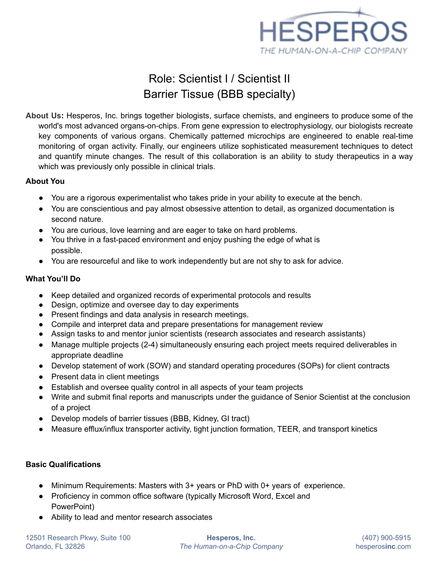

# Role: Scientist I / Scientist II Barrier Tissue (BBB specialty)

**About Us:** Hesperos, Inc. brings together biologists, surface chemists, and engineers to produce some of the world's most advanced organs-on-chips. From gene expression to electrophysiology, our biologists recreate key components of various organs. Chemically patterned microchips are engineered to enable real-time monitoring of organ activity. Finally, our engineers utilize sophisticated measurement techniques to detect and quantify minute changes. The result of this collaboration is an ability to study therapeutics in a way which was previously only possible in clinical trials.

### **About You**

- You are a rigorous experimentalist who takes pride in your ability to execute at the bench.
- You are conscientious and pay almost obsessive attention to detail, as organized documentation is second nature.
- You are curious, love learning and are eager to take on hard problems.
- You thrive in a fast-paced environment and enjoy pushing the edge of what is possible.
- You are resourceful and like to work independently but are not shy to ask for advice.

### **What You'll Do**

- Keep detailed and organized records of experimental protocols and results
- Design, optimize and oversee day to day experiments
- Present findings and data analysis in research meetings.
- Compile and interpret data and prepare presentations for management review
- Assign tasks to and mentor junior scientists (research associates and research assistants)
- Manage multiple projects (2-4) simultaneously ensuring each project meets required deliverables in appropriate deadline
- Develop statement of work (SOW) and standard operating procedures (SOPs) for client contracts
- Present data in client meetings
- Establish and oversee quality control in all aspects of your team projects
- Write and submit final reports and manuscripts under the guidance of Senior Scientist at the conclusion of a project
- Develop models of barrier tissues (BBB, Kidney, GI tract)
- Measure efflux/influx transporter activity, tight junction formation, TEER, and transport kinetics

## **Basic Qualifications**

- Minimum Requirements: Masters with 3+ years or PhD with 0+ years of experience.
- Proficiency in common office software (typically Microsoft Word, Excel and PowerPoint)
- Ability to lead and mentor research associates